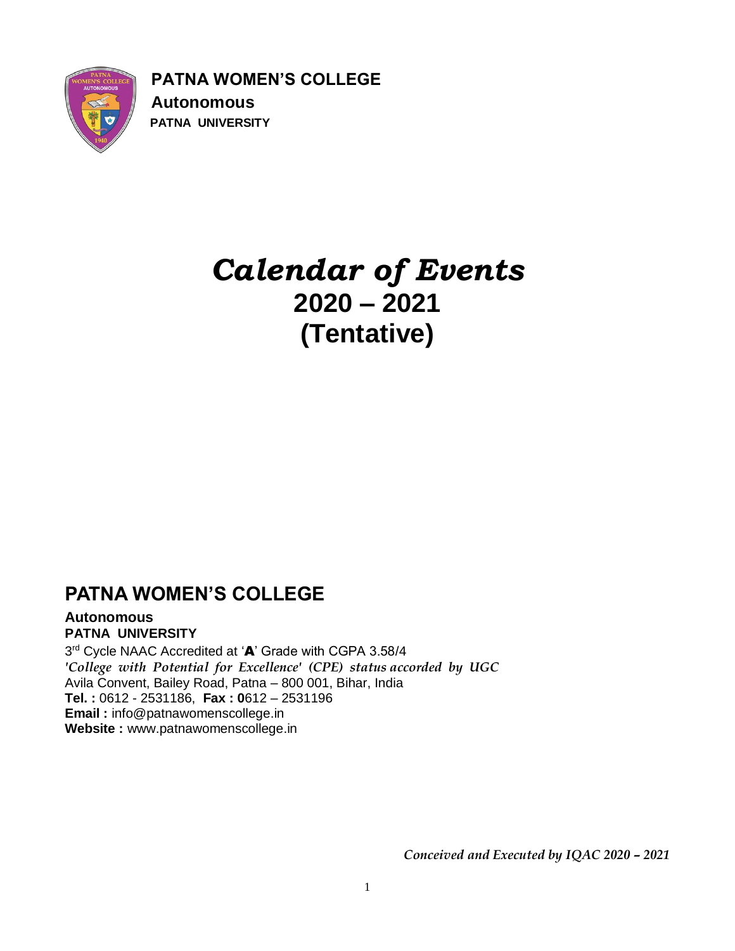

**PATNA WOMEN'S COLLEGE Autonomous PATNA UNIVERSITY**

# *Calendar of Events* **2020 – 2021 (Tentative)**

### **PATNA WOMEN'S COLLEGE**

#### **Autonomous PATNA UNIVERSITY**

3<sup>rd</sup> Cycle NAAC Accredited at 'A' Grade with CGPA 3.58/4 *'College with Potential for Excellence' (CPE) status accorded by UGC* Avila Convent, Bailey Road, Patna – 800 001, Bihar, India **Tel. :** 0612 - 2531186, **Fax : 0**612 – 2531196 **Email :** info@patnawomenscollege.in **Website :** www.patnawomenscollege.in

*Conceived and Executed by IQAC 2020 – 2021*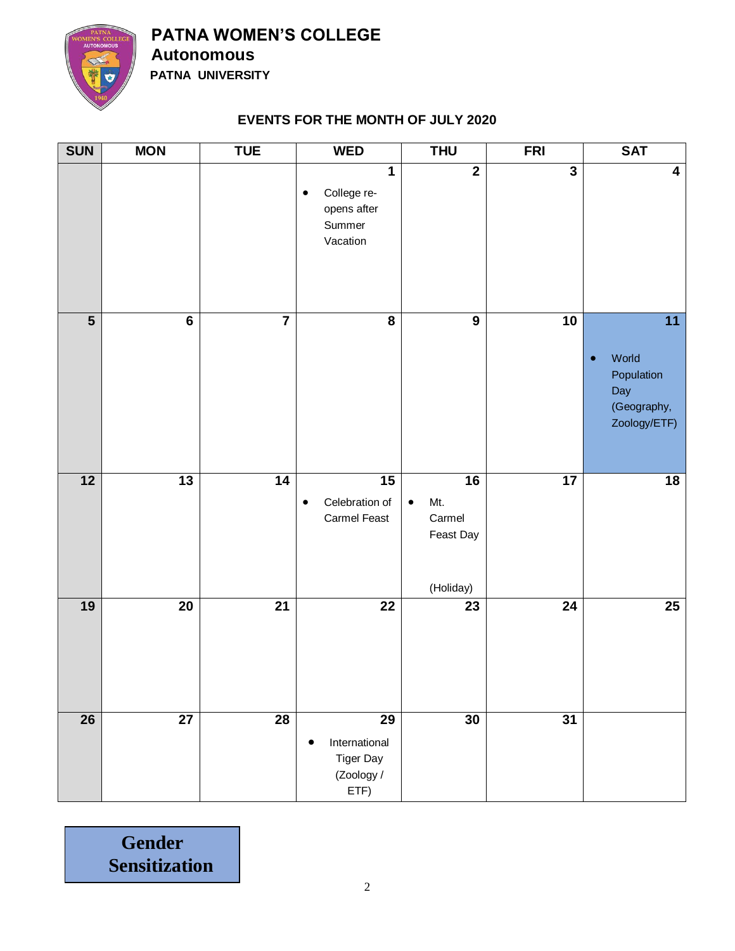

**PATNA WOMEN'S COLLEGE Autonomous**

 **PATNA UNIVERSITY**

#### **EVENTS FOR THE MONTH OF JULY 2020**

| <b>SUN</b>              | <b>MON</b>                  | <b>TUE</b>      | <b>WED</b>                                                                               | <b>THU</b>                                                 | <b>FRI</b>              | <b>SAT</b>                                                                                |
|-------------------------|-----------------------------|-----------------|------------------------------------------------------------------------------------------|------------------------------------------------------------|-------------------------|-------------------------------------------------------------------------------------------|
|                         |                             |                 | $\overline{\mathbf{1}}$<br>College re-<br>$\bullet$<br>opens after<br>Summer<br>Vacation | $\overline{2}$                                             | $\overline{\mathbf{3}}$ | $\overline{\mathbf{4}}$                                                                   |
| $\overline{\mathbf{5}}$ | $\overline{\boldsymbol{6}}$ | $\overline{7}$  | $\overline{\mathbf{8}}$                                                                  | $\overline{9}$                                             | $\overline{10}$         | $\overline{11}$<br>World<br>$\bullet$<br>Population<br>Day<br>(Geography,<br>Zoology/ETF) |
| $\overline{12}$         | 13                          | 14              | 15<br>Celebration of<br>$\bullet$<br>Carmel Feast                                        | 16<br>Mt.<br>$\bullet$<br>Carmel<br>Feast Day<br>(Holiday) | $\overline{17}$         | $\overline{18}$                                                                           |
| 19                      | 20                          | 21              | 22                                                                                       | 23                                                         | 24                      | 25                                                                                        |
| 26                      | $\overline{27}$             | $\overline{28}$ | 29<br>International<br>٠<br><b>Tiger Day</b><br>(Zoology /<br>ETF)                       | 30                                                         | 31                      |                                                                                           |

**Gender Sensitization**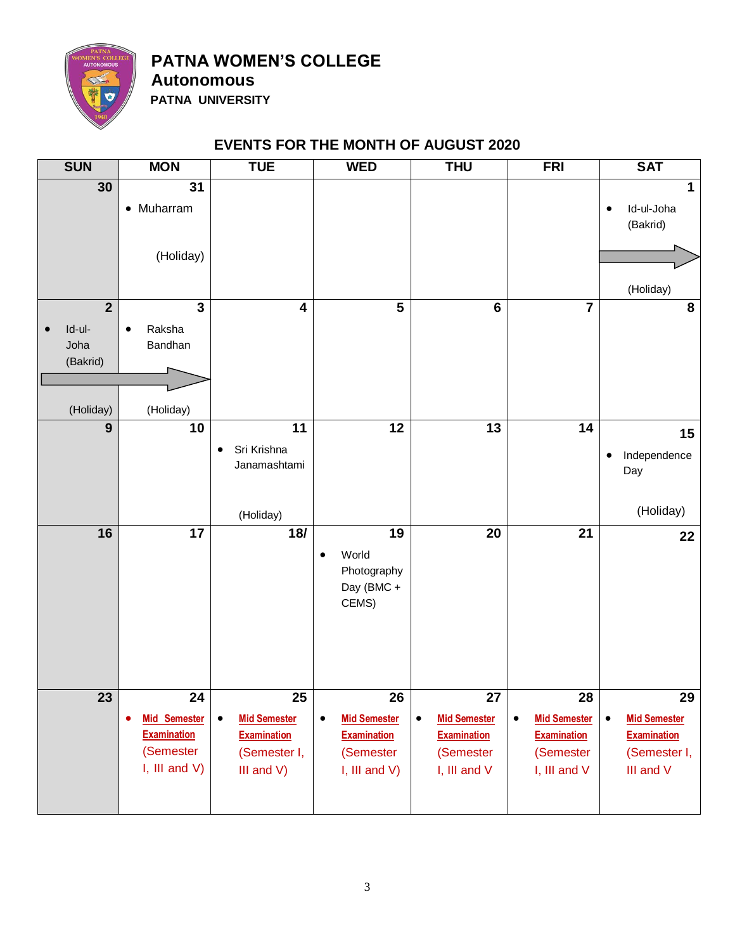

**Autonomous PATNA UNIVERSITY**

#### **EVENTS FOR THE MONTH OF AUGUST 2020**

| <b>SUN</b>                                           | <b>MON</b>                                                                            | <b>TUE</b>                                                                                 | <b>WED</b>                                                                                    | <b>THU</b>                                                                                | <b>FRI</b>                                                                                | <b>SAT</b>                                                                                |
|------------------------------------------------------|---------------------------------------------------------------------------------------|--------------------------------------------------------------------------------------------|-----------------------------------------------------------------------------------------------|-------------------------------------------------------------------------------------------|-------------------------------------------------------------------------------------------|-------------------------------------------------------------------------------------------|
| 30<br>$\overline{2}$                                 | $\overline{31}$<br>• Muharram<br>(Holiday)<br>$\overline{\mathbf{3}}$                 | $\overline{4}$                                                                             | $\overline{\mathbf{5}}$                                                                       | $\overline{\bf{6}}$                                                                       | $\overline{\mathbf{7}}$                                                                   | 1<br>Id-ul-Joha<br>$\bullet$<br>(Bakrid)<br>(Holiday)<br>8                                |
| Id-ul-<br>$\bullet$<br>Joha<br>(Bakrid)<br>(Holiday) | Raksha<br>$\bullet$<br>Bandhan<br>(Holiday)                                           |                                                                                            |                                                                                               |                                                                                           |                                                                                           |                                                                                           |
| $\overline{9}$                                       | 10                                                                                    | 11<br>Sri Krishna<br>$\bullet$<br>Janamashtami<br>(Holiday)                                | 12                                                                                            | 13                                                                                        | 14                                                                                        | 15<br>Independence<br>$\bullet$<br>Day<br>(Holiday)                                       |
| 16                                                   | $\overline{17}$                                                                       | $\overline{18}$                                                                            | 19<br>World<br>Photography<br>Day (BMC +<br>CEMS)                                             | 20                                                                                        | 21                                                                                        | 22                                                                                        |
| 23                                                   | 24<br><b>Mid Semester</b><br>٠<br><b>Examination</b><br>(Semester<br>I, III and $V$ ) | 25<br><b>Mid Semester</b><br>$\bullet$<br><b>Examination</b><br>(Semester I,<br>III and V) | 26<br><b>Mid Semester</b><br>$\bullet$<br><b>Examination</b><br>(Semester<br>I, III and $V$ ) | 27<br><b>Mid Semester</b><br>$\bullet$<br><b>Examination</b><br>(Semester<br>I, III and V | 28<br><b>Mid Semester</b><br>$\bullet$<br><b>Examination</b><br>(Semester<br>I, III and V | 29<br><b>Mid Semester</b><br>$\bullet$<br><b>Examination</b><br>(Semester I,<br>III and V |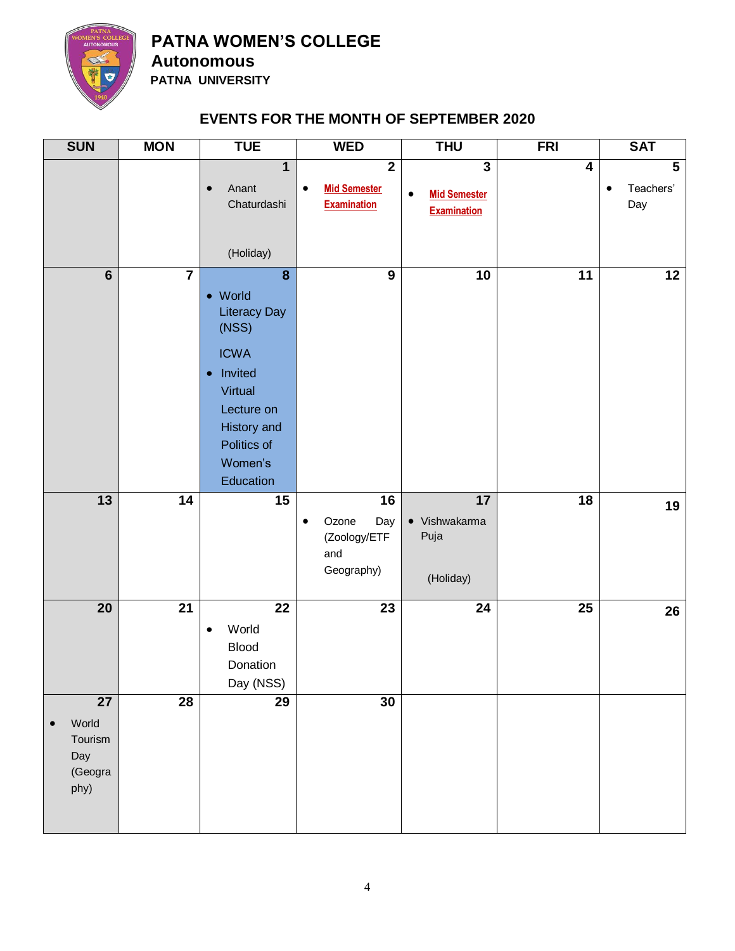

**PATNA WOMEN'S COLLEGE Autonomous**

 **PATNA UNIVERSITY**

#### **EVENTS FOR THE MONTH OF SEPTEMBER 2020**

| <b>SUN</b>                                                    | <b>MON</b>              | <b>TUE</b>                                                                                                                                                         | <b>WED</b>                                                                        | <b>THU</b>                                                             | <b>FRI</b>      | <b>SAT</b>                              |
|---------------------------------------------------------------|-------------------------|--------------------------------------------------------------------------------------------------------------------------------------------------------------------|-----------------------------------------------------------------------------------|------------------------------------------------------------------------|-----------------|-----------------------------------------|
|                                                               |                         | 1<br>Anant<br>$\bullet$<br>Chaturdashi                                                                                                                             | $\overline{\mathbf{2}}$<br><b>Mid Semester</b><br>$\bullet$<br><b>Examination</b> | $\mathbf{3}$<br><b>Mid Semester</b><br>$\bullet$<br><b>Examination</b> | 4               | $5\phantom{1}$<br>Teachers'<br>٠<br>Day |
|                                                               |                         | (Holiday)                                                                                                                                                          |                                                                                   |                                                                        |                 |                                         |
| $6\phantom{1}$                                                | $\overline{\mathbf{7}}$ | 8<br>• World<br><b>Literacy Day</b><br>(NSS)<br><b>ICWA</b><br>Invited<br>$\bullet$<br>Virtual<br>Lecture on<br>History and<br>Politics of<br>Women's<br>Education | $\overline{9}$                                                                    | 10                                                                     | 11              | 12                                      |
| 13                                                            | 14                      | 15                                                                                                                                                                 | 16<br>Ozone<br>Day<br>$\bullet$<br>(Zoology/ETF<br>and<br>Geography)              | 17<br>• Vishwakarma<br>Puja<br>(Holiday)                               | 18              | 19                                      |
| 20                                                            | $\overline{21}$         | $\overline{22}$<br>World<br>$\bullet$<br><b>Blood</b><br>Donation<br>Day (NSS)                                                                                     | $\overline{23}$                                                                   | $\overline{24}$                                                        | $\overline{25}$ | 26                                      |
| 27<br>World<br>$\bullet$<br>Tourism<br>Day<br>(Geogra<br>phy) | $\overline{28}$         | $\overline{29}$                                                                                                                                                    | 30                                                                                |                                                                        |                 |                                         |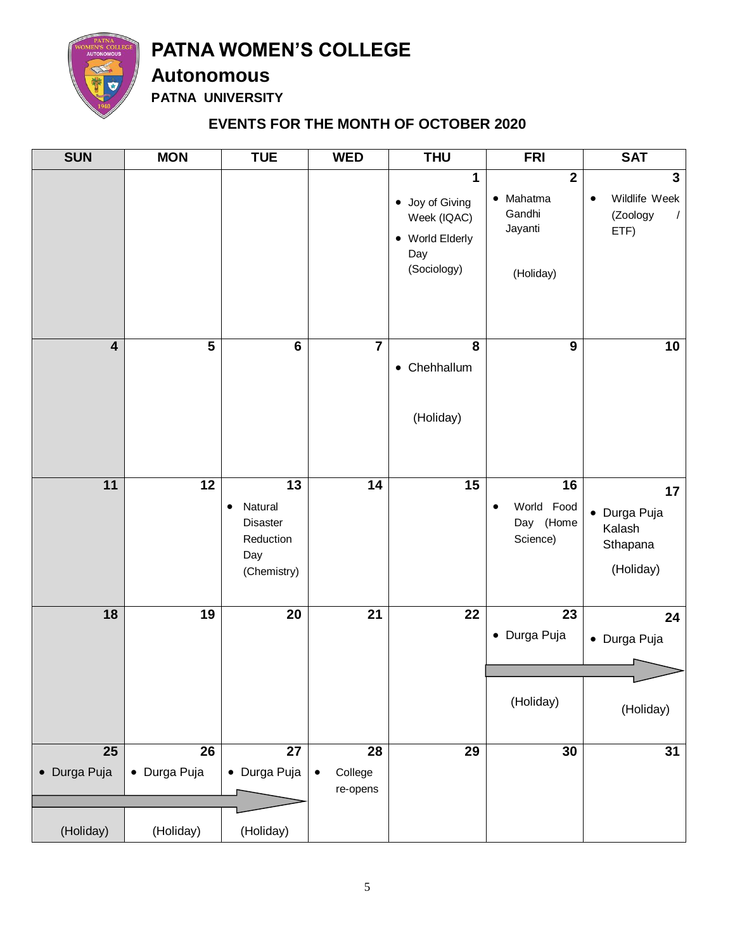

**Autonomous**

**PATNA UNIVERSITY**

#### **EVENTS FOR THE MONTH OF OCTOBER 2020**

| $\mathbf{2}$<br>1<br>$\bullet$ Mahatma<br>٠<br>• Joy of Giving<br>Gandhi<br>Week (IQAC)<br>Jayanti<br>ETF)<br>• World Elderly<br>Day<br>(Sociology)<br>(Holiday)<br>$\overline{\mathbf{5}}$<br>$\bf 6$<br>$\overline{7}$<br>$\boldsymbol{9}$<br>$\overline{\mathbf{4}}$<br>8<br>• Chehhallum<br>(Holiday)<br>11<br>12<br>$\overline{13}$<br>$\overline{14}$<br>$\overline{15}$<br>16<br>World Food<br>Natural<br>$\bullet$<br>$\bullet$<br>Day (Home<br>Disaster<br>Kalash<br>Reduction<br>Science)<br>Day<br>(Chemistry)<br>$\overline{21}$<br>$\overline{22}$<br>18<br>19<br>20<br>23<br>• Durga Puja | <b>SUN</b> | <b>MON</b> | <b>TUE</b> | <b>WED</b> | <b>THU</b> | <b>FRI</b> | <b>SAT</b>                                              |
|---------------------------------------------------------------------------------------------------------------------------------------------------------------------------------------------------------------------------------------------------------------------------------------------------------------------------------------------------------------------------------------------------------------------------------------------------------------------------------------------------------------------------------------------------------------------------------------------------------|------------|------------|------------|------------|------------|------------|---------------------------------------------------------|
|                                                                                                                                                                                                                                                                                                                                                                                                                                                                                                                                                                                                         |            |            |            |            |            |            | $\mathbf{3}$<br>Wildlife Week<br>(Zoology<br>$\sqrt{2}$ |
|                                                                                                                                                                                                                                                                                                                                                                                                                                                                                                                                                                                                         |            |            |            |            |            |            | 10                                                      |
|                                                                                                                                                                                                                                                                                                                                                                                                                                                                                                                                                                                                         |            |            |            |            |            |            | 17<br>• Durga Puja<br>Sthapana<br>(Holiday)             |
| (Holiday)                                                                                                                                                                                                                                                                                                                                                                                                                                                                                                                                                                                               |            |            |            |            |            |            | 24<br>• Durga Puja<br>(Holiday)                         |
| $\overline{25}$<br>$\overline{26}$<br>$\overline{27}$<br>$\overline{29}$<br>30<br>28<br>• Durga Puja<br>• Durga Puja<br>• Durga Puja<br>College<br>$\bullet$<br>re-opens<br>(Holiday)<br>(Holiday)<br>(Holiday)                                                                                                                                                                                                                                                                                                                                                                                         |            |            |            |            |            |            | 31                                                      |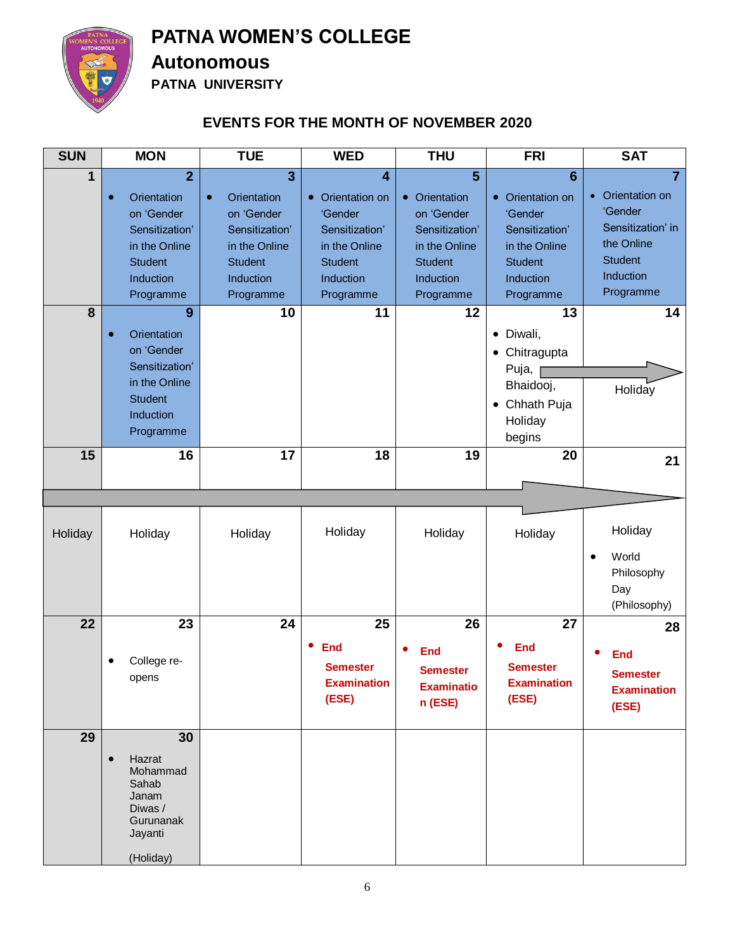

#### **Autonomous**

**PATNA UNIVERSITY**

#### **EVENTS FOR THE MONTH OF NOVEMBER 2020**

| <b>SUN</b> | <b>MON</b>                                                                                                                              | <b>TUE</b>                                                                                                                                     | <b>WED</b>                                                                                                                                       | <b>THU</b>                                                                                                                   | <b>FRI</b>                                                                                                                    | <b>SAT</b>                                                                                                                   |
|------------|-----------------------------------------------------------------------------------------------------------------------------------------|------------------------------------------------------------------------------------------------------------------------------------------------|--------------------------------------------------------------------------------------------------------------------------------------------------|------------------------------------------------------------------------------------------------------------------------------|-------------------------------------------------------------------------------------------------------------------------------|------------------------------------------------------------------------------------------------------------------------------|
| 1          | $\overline{2}$<br>Orientation<br>$\bullet$<br>on 'Gender<br>Sensitization'<br>in the Online<br><b>Student</b><br>Induction<br>Programme | $\overline{3}$<br><b>Orientation</b><br>$\bullet$<br>on 'Gender<br>Sensitization'<br>in the Online<br><b>Student</b><br>Induction<br>Programme | $\overline{\mathbf{4}}$<br>Orientation on<br>$\bullet$<br>'Gender<br>Sensitization'<br>in the Online<br><b>Student</b><br>Induction<br>Programme | $\overline{5}$<br>• Orientation<br>on 'Gender<br>Sensitization'<br>in the Online<br><b>Student</b><br>Induction<br>Programme | $6\phantom{1}6$<br>• Orientation on<br>'Gender<br>Sensitization'<br>in the Online<br><b>Student</b><br>Induction<br>Programme | $\overline{7}$<br>• Orientation on<br>'Gender<br>Sensitization' in<br>the Online<br><b>Student</b><br>Induction<br>Programme |
| 8          | 9<br>Orientation<br>on 'Gender<br>Sensitization'<br>in the Online<br><b>Student</b><br>Induction<br>Programme                           | 10                                                                                                                                             | 11                                                                                                                                               | 12                                                                                                                           | 13<br>• Diwali,<br>Chitragupta<br>$\bullet$<br>Puja,<br>Bhaidooj,<br>Chhath Puja<br>$\bullet$<br>Holiday<br>begins            | 14<br>Holiday                                                                                                                |
| 15         | $\overline{16}$                                                                                                                         | $\overline{17}$                                                                                                                                | 18                                                                                                                                               | 19                                                                                                                           | 20                                                                                                                            | 21                                                                                                                           |
| Holiday    | Holiday                                                                                                                                 | Holiday                                                                                                                                        | Holiday                                                                                                                                          | Holiday                                                                                                                      | Holiday                                                                                                                       | Holiday<br>World<br>$\bullet$<br>Philosophy<br>Day<br>(Philosophy)                                                           |
| 22         | 23<br>College re-<br>opens                                                                                                              | 24                                                                                                                                             | 25<br><b>End</b><br><b>Semester</b><br><b>Examination</b><br>(ESE)                                                                               | 26<br><b>End</b><br><b>Semester</b><br><b>Examinatio</b><br>n (ESE)                                                          | 27<br><b>End</b><br><b>Semester</b><br><b>Examination</b><br>(ESE)                                                            | 28<br>End<br><b>Semester</b><br><b>Examination</b><br>(ESE)                                                                  |
| 29         | 30<br>Hazrat<br>Mohammad<br>Sahab<br>Janam<br>Diwas /<br>Gurunanak<br>Jayanti<br>(Holiday)                                              |                                                                                                                                                |                                                                                                                                                  |                                                                                                                              |                                                                                                                               |                                                                                                                              |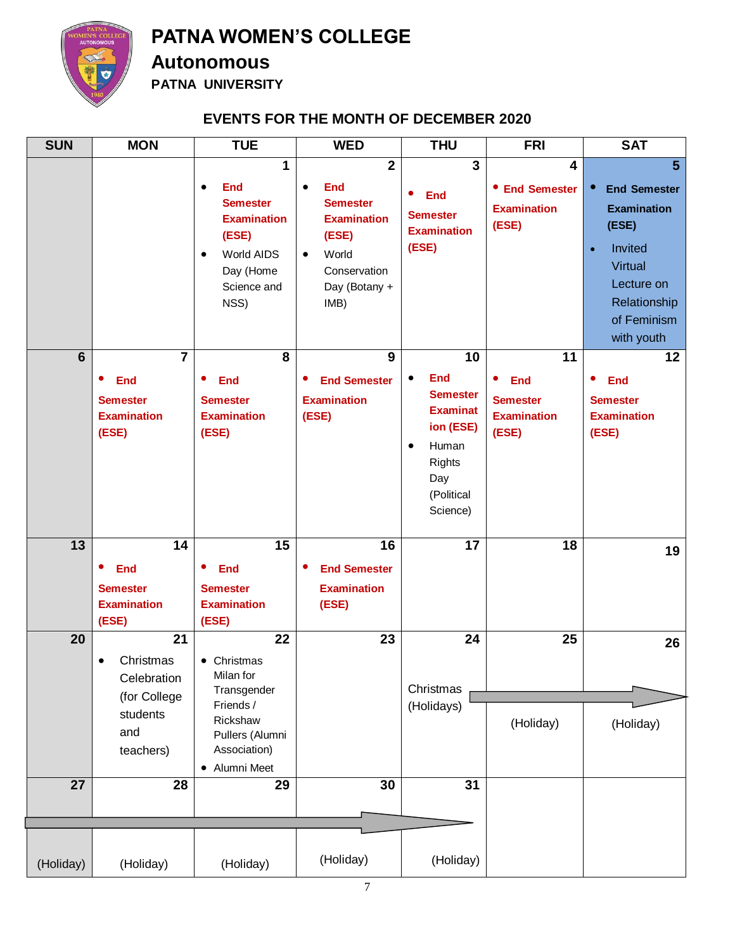

#### **Autonomous**

**PATNA UNIVERSITY**

#### **EVENTS FOR THE MONTH OF DECEMBER 2020**

| <b>SUN</b>      | <b>MON</b>                                                                          | <b>TUE</b>                                                                                                                                    | <b>WED</b>                                                                                                                                                 | <b>THU</b>                                                                                                                                               | <b>FRI</b>                                                              | <b>SAT</b>                                                                                                                                                         |
|-----------------|-------------------------------------------------------------------------------------|-----------------------------------------------------------------------------------------------------------------------------------------------|------------------------------------------------------------------------------------------------------------------------------------------------------------|----------------------------------------------------------------------------------------------------------------------------------------------------------|-------------------------------------------------------------------------|--------------------------------------------------------------------------------------------------------------------------------------------------------------------|
|                 |                                                                                     | 1<br><b>End</b><br>$\bullet$<br><b>Semester</b><br><b>Examination</b><br>(ESE)<br>World AIDS<br>$\bullet$<br>Day (Home<br>Science and<br>NSS) | $\overline{2}$<br><b>End</b><br>$\bullet$<br><b>Semester</b><br><b>Examination</b><br>(ESE)<br>World<br>$\bullet$<br>Conservation<br>Day (Botany +<br>IMB) | $\overline{3}$<br>$\bullet$<br><b>End</b><br><b>Semester</b><br><b>Examination</b><br>(ESE)                                                              | 4<br>• End Semester<br><b>Examination</b><br>(ESE)                      | $\overline{5}$<br><b>End Semester</b><br><b>Examination</b><br>(ESE)<br>Invited<br>$\bullet$<br>Virtual<br>Lecture on<br>Relationship<br>of Feminism<br>with youth |
| $6\phantom{1}$  | $\overline{7}$<br><b>End</b><br><b>Semester</b><br><b>Examination</b><br>(ESE)      | 8<br><b>End</b><br>٠<br><b>Semester</b><br><b>Examination</b><br>(ESE)                                                                        | 9<br><b>End Semester</b><br>٠<br><b>Examination</b><br>(ESE)                                                                                               | 10<br><b>End</b><br>$\bullet$<br><b>Semester</b><br><b>Examinat</b><br>ion (ESE)<br>Human<br>$\bullet$<br><b>Rights</b><br>Day<br>(Political<br>Science) | 11<br>۰<br><b>End</b><br><b>Semester</b><br><b>Examination</b><br>(ESE) | 12<br><b>End</b><br>$\bullet$<br><b>Semester</b><br><b>Examination</b><br>(ESE)                                                                                    |
| 13              | 14<br><b>End</b><br><b>Semester</b><br><b>Examination</b><br>(ESE)                  | 15<br>٠<br><b>End</b><br><b>Semester</b><br><b>Examination</b><br>(ESE)                                                                       | 16<br><b>End Semester</b><br>٠<br><b>Examination</b><br>(ESE)                                                                                              | 17                                                                                                                                                       | 18                                                                      | 19                                                                                                                                                                 |
| 20              | 21<br>Christmas<br>٠<br>Celebration<br>(for College<br>students<br>and<br>teachers) | 22<br>• Christmas<br>Milan for<br>Transgender<br>Friends /<br>Rickshaw<br>Pullers (Alumni<br>Association)<br>• Alumni Meet                    | 23                                                                                                                                                         | 24<br>Christmas<br>(Holidays)                                                                                                                            | 25<br>(Holiday)                                                         | 26<br>(Holiday)                                                                                                                                                    |
| $\overline{27}$ | 28                                                                                  | $\overline{29}$                                                                                                                               | 30                                                                                                                                                         | $\overline{31}$                                                                                                                                          |                                                                         |                                                                                                                                                                    |
|                 |                                                                                     |                                                                                                                                               |                                                                                                                                                            |                                                                                                                                                          |                                                                         |                                                                                                                                                                    |
| (Holiday)       | (Holiday)                                                                           | (Holiday)                                                                                                                                     | (Holiday)                                                                                                                                                  | (Holiday)                                                                                                                                                |                                                                         |                                                                                                                                                                    |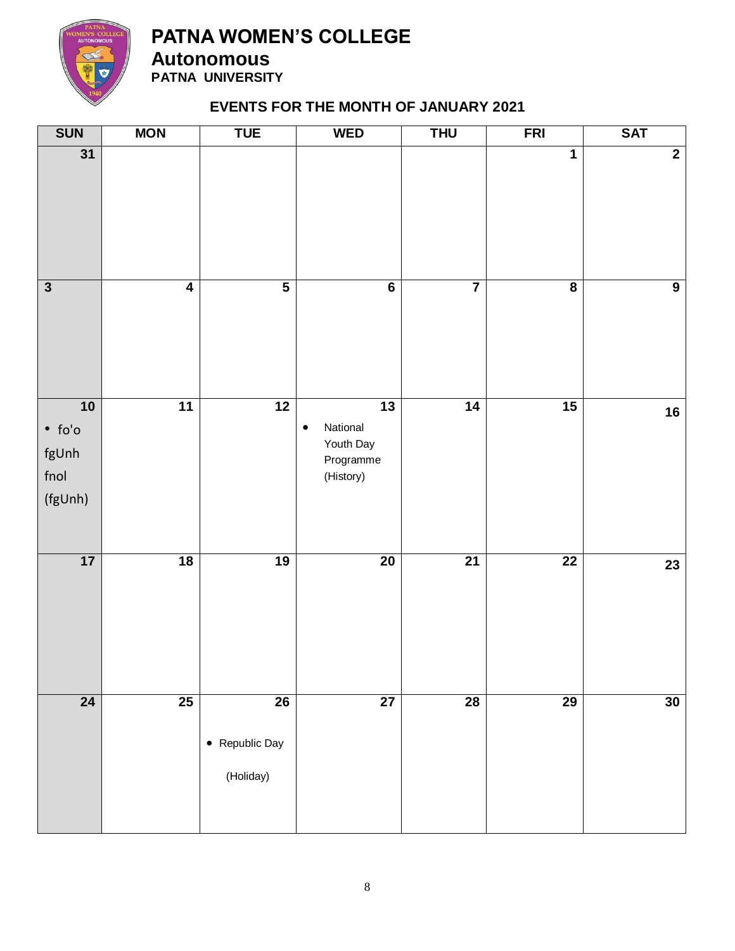

**Autonomous PATNA UNIVERSITY**

#### **EVENTS FOR THE MONTH OF JANUARY 2021**

| <b>SUN</b>                                                  | <b>MON</b>              | <b>TUE</b>                                     | <b>WED</b>                                                                      | <b>THU</b>              | <b>FRI</b>              | <b>SAT</b>     |
|-------------------------------------------------------------|-------------------------|------------------------------------------------|---------------------------------------------------------------------------------|-------------------------|-------------------------|----------------|
| $\overline{31}$                                             |                         |                                                |                                                                                 |                         | 1                       | $\overline{2}$ |
| $\overline{\mathbf{3}}$                                     | $\overline{\mathbf{4}}$ | $\overline{\mathbf{5}}$                        | $\overline{\mathbf{6}}$                                                         | $\overline{\mathbf{7}}$ | $\overline{\mathbf{8}}$ | $\overline{9}$ |
| 10<br>$\bullet$ fo'o<br>fgUnh<br>$f_{\text{no}}$<br>(fgUnh) | $\overline{11}$         | $\overline{12}$                                | $\overline{13}$<br>National<br>$\bullet$<br>Youth Day<br>Programme<br>(History) | $\overline{14}$         | $\overline{15}$         | 16             |
| 17                                                          | 18                      | 19                                             | 20                                                                              | $\overline{21}$         | $\overline{22}$         | 23             |
| $\overline{24}$                                             | $\overline{25}$         | $\overline{26}$<br>• Republic Day<br>(Holiday) | $\overline{27}$                                                                 | $\overline{28}$         | 29                      | 30             |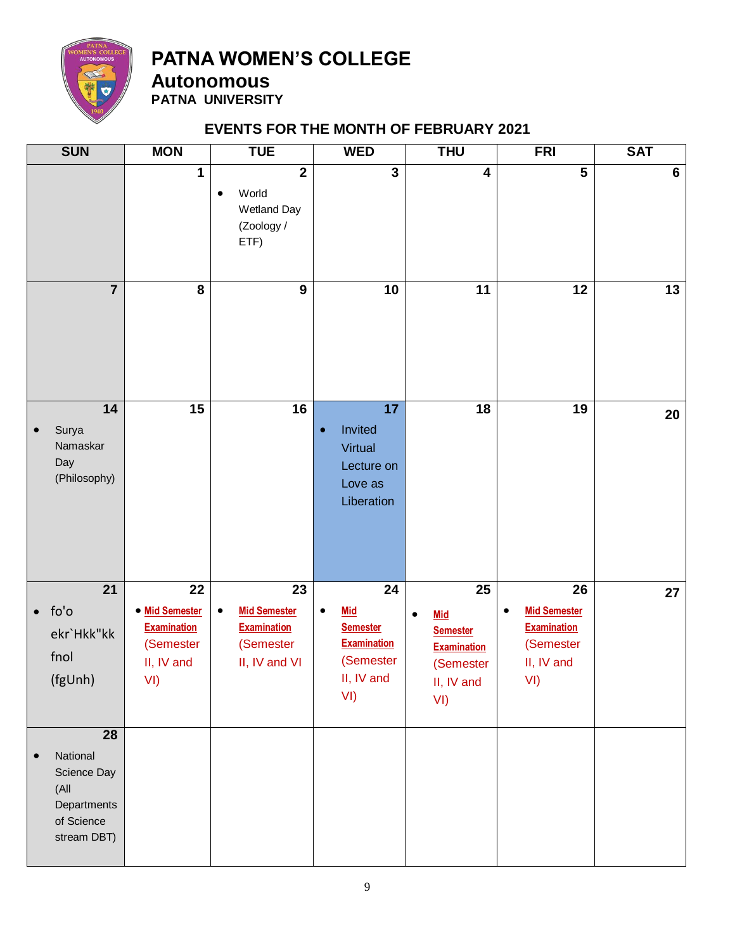

**Autonomous PATNA UNIVERSITY**

#### **EVENTS FOR THE MONTH OF FEBRUARY 2021**

| <b>SUN</b>                                                                                     | <b>MON</b>                                                                                | <b>TUE</b>                                                                                              | <b>WED</b>                                                                                                            | <b>THU</b>                                                                                                            | <b>FRI</b>                                                                                          | <b>SAT</b>     |
|------------------------------------------------------------------------------------------------|-------------------------------------------------------------------------------------------|---------------------------------------------------------------------------------------------------------|-----------------------------------------------------------------------------------------------------------------------|-----------------------------------------------------------------------------------------------------------------------|-----------------------------------------------------------------------------------------------------|----------------|
|                                                                                                | 1                                                                                         | $\overline{2}$<br>World<br>٠<br><b>Wetland Day</b><br>(Zoology /<br>ETF)                                | $\overline{\mathbf{3}}$                                                                                               | $\overline{\mathbf{4}}$                                                                                               | $\overline{\mathbf{5}}$                                                                             | $6\phantom{1}$ |
| $\overline{7}$                                                                                 | 8                                                                                         | $\boldsymbol{9}$                                                                                        | 10                                                                                                                    | 11                                                                                                                    | 12                                                                                                  | 13             |
| 14<br>Surya<br>$\bullet$<br>Namaskar<br>Day<br>(Philosophy)                                    | 15                                                                                        | 16                                                                                                      | $\overline{17}$<br>Invited<br>$\bullet$<br>Virtual<br>Lecture on<br>Love as<br>Liberation                             | $\overline{18}$                                                                                                       | $\overline{19}$                                                                                     | 20             |
| $\overline{21}$<br>$\bullet$ fo'o<br>ekr`Hkk"kk<br>fnol<br>(fgUnh)                             | $\overline{22}$<br>• Mid Semester<br><b>Examination</b><br>(Semester<br>II, IV and<br>VI) | $\overline{23}$<br><b>Mid Semester</b><br>$\bullet$<br><b>Examination</b><br>(Semester<br>II, IV and VI | $\overline{24}$<br><b>Mid</b><br>$\bullet$<br><b>Semester</b><br><b>Examination</b><br>(Semester<br>II, IV and<br>VI) | $\overline{25}$<br><b>Mid</b><br>$\bullet$<br><b>Semester</b><br><b>Examination</b><br>(Semester<br>II, IV and<br>VI) | $\overline{26}$<br><b>Mid Semester</b><br>٠<br><b>Examination</b><br>(Semester<br>II, IV and<br>VI) | 27             |
| 28<br>National<br>$\bullet$<br>Science Day<br>(All<br>Departments<br>of Science<br>stream DBT) |                                                                                           |                                                                                                         |                                                                                                                       |                                                                                                                       |                                                                                                     |                |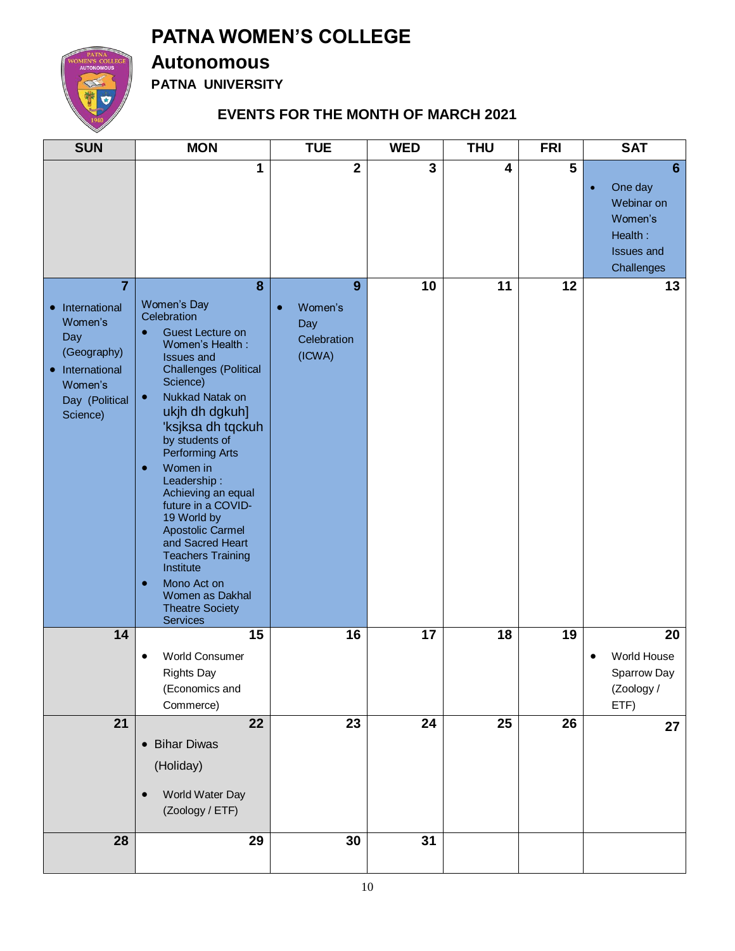

## **Autonomous**

**PATNA UNIVERSITY**

### **EVENTS FOR THE MONTH OF MARCH 2021**

| <b>SUN</b>                                                                                                        | <b>MON</b>                                                                                                                                                                                                                                                                                                                                                                                                                                                                                                                                              | <b>TUE</b>                                                | <b>WED</b>      | <b>THU</b> | <b>FRI</b>              | <b>SAT</b>                                                                                       |
|-------------------------------------------------------------------------------------------------------------------|---------------------------------------------------------------------------------------------------------------------------------------------------------------------------------------------------------------------------------------------------------------------------------------------------------------------------------------------------------------------------------------------------------------------------------------------------------------------------------------------------------------------------------------------------------|-----------------------------------------------------------|-----------------|------------|-------------------------|--------------------------------------------------------------------------------------------------|
|                                                                                                                   | 1                                                                                                                                                                                                                                                                                                                                                                                                                                                                                                                                                       | $\overline{2}$                                            | $\overline{3}$  | 4          | $\overline{\mathbf{5}}$ | 6<br>One day<br>$\bullet$<br>Webinar on<br>Women's<br>Health:<br><b>Issues and</b><br>Challenges |
| 7<br>• International<br>Women's<br>Day<br>(Geography)<br>• International<br>Women's<br>Day (Political<br>Science) | 8<br>Women's Day<br>Celebration<br>Guest Lecture on<br>$\bullet$<br>Women's Health:<br><b>Issues and</b><br><b>Challenges (Political</b><br>Science)<br>Nukkad Natak on<br>$\bullet$<br>ukjh dh dgkuh]<br>'ksjksa dh tqckuh<br>by students of<br><b>Performing Arts</b><br>Women in<br>$\bullet$<br>Leadership:<br>Achieving an equal<br>future in a COVID-<br>19 World by<br><b>Apostolic Carmel</b><br>and Sacred Heart<br><b>Teachers Training</b><br>Institute<br>Mono Act on<br>$\bullet$<br>Women as Dakhal<br><b>Theatre Society</b><br>Services | 9<br>Women's<br>$\bullet$<br>Day<br>Celebration<br>(ICWA) | 10              | 11         | 12                      | 13                                                                                               |
| 14                                                                                                                | 15<br><b>World Consumer</b><br><b>Rights Day</b><br>(Economics and<br>Commerce)                                                                                                                                                                                                                                                                                                                                                                                                                                                                         | 16                                                        | 17              | 18         | 19                      | 20<br>World House<br>Sparrow Day<br>(Zoology /<br>ETF)                                           |
| 21                                                                                                                | 22<br>• Bihar Diwas<br>(Holiday)<br>World Water Day<br>(Zoology / ETF)                                                                                                                                                                                                                                                                                                                                                                                                                                                                                  | 23                                                        | $\overline{24}$ | 25         | 26                      | 27                                                                                               |
| 28                                                                                                                | 29                                                                                                                                                                                                                                                                                                                                                                                                                                                                                                                                                      | 30                                                        | 31              |            |                         |                                                                                                  |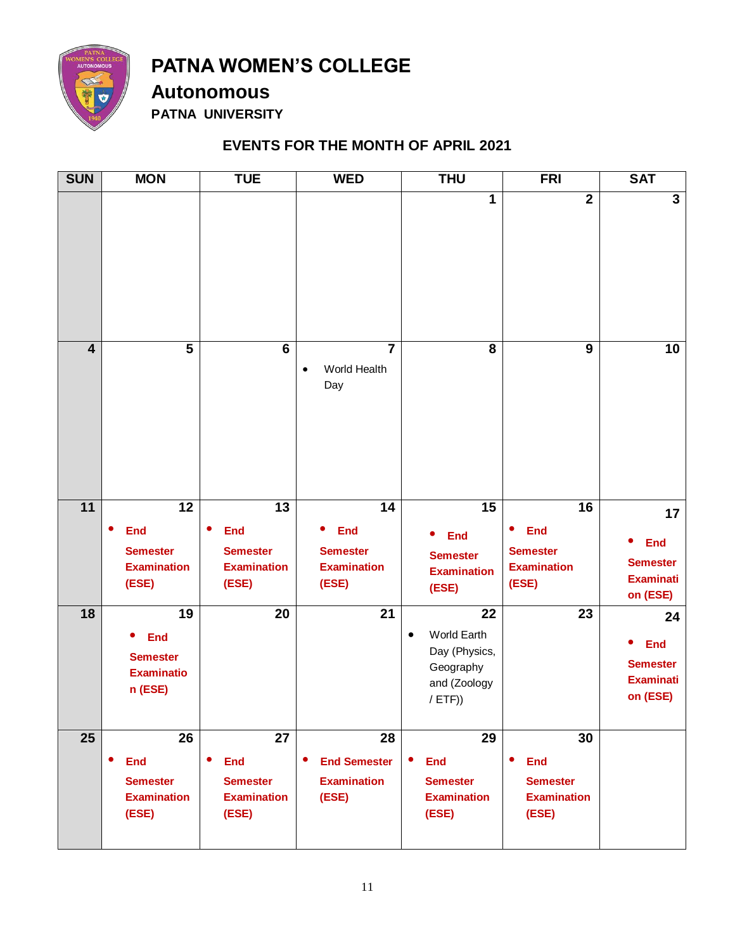

**Autonomous**

**PATNA UNIVERSITY**

#### **EVENTS FOR THE MONTH OF APRIL 2021**

| <b>SUN</b>              | <b>MON</b>                                                                       | <b>TUE</b>                                                                      | <b>WED</b>                                                                | <b>THU</b>                                                                                | <b>FRI</b>                                                                      | <b>SAT</b>                                                          |
|-------------------------|----------------------------------------------------------------------------------|---------------------------------------------------------------------------------|---------------------------------------------------------------------------|-------------------------------------------------------------------------------------------|---------------------------------------------------------------------------------|---------------------------------------------------------------------|
|                         |                                                                                  |                                                                                 |                                                                           | 1                                                                                         | $\overline{2}$                                                                  | $\overline{3}$                                                      |
| $\overline{\mathbf{4}}$ | 5                                                                                | $6\phantom{1}$                                                                  | $\overline{7}$<br>World Health<br>$\bullet$<br>Day                        | 8                                                                                         | $\boldsymbol{9}$                                                                | 10                                                                  |
| 11                      | 12                                                                               | 13                                                                              | $\overline{14}$                                                           | 15                                                                                        | 16                                                                              | 17                                                                  |
|                         | <b>End</b><br>$\bullet$<br><b>Semester</b><br><b>Examination</b><br>(ESE)        | <b>End</b><br>$\bullet$<br><b>Semester</b><br><b>Examination</b><br>(ESE)       | <b>End</b><br>$\bullet$<br><b>Semester</b><br><b>Examination</b><br>(ESE) | <b>End</b><br>$\bullet$<br><b>Semester</b><br><b>Examination</b><br>(ESE)                 | <b>End</b><br>٠<br><b>Semester</b><br><b>Examination</b><br>(ESE)               | <b>End</b><br><b>Semester</b><br><b>Examinati</b><br>on (ESE)       |
| 18                      | 19<br><b>End</b><br>$\bullet$<br><b>Semester</b><br><b>Examinatio</b><br>n (ESE) | 20                                                                              | 21                                                                        | 22<br>World Earth<br>$\bullet$<br>Day (Physics,<br>Geography<br>and (Zoology<br>$/$ ETF)) | 23                                                                              | 24<br><b>End</b><br><b>Semester</b><br><b>Examinati</b><br>on (ESE) |
| 25                      | 26<br>٠<br><b>End</b><br><b>Semester</b><br><b>Examination</b><br>(ESE)          | 27<br>$\bullet$<br><b>End</b><br><b>Semester</b><br><b>Examination</b><br>(ESE) | 28<br>$\bullet$<br><b>End Semester</b><br><b>Examination</b><br>(ESE)     | 29<br><b>End</b><br>$\bullet$<br><b>Semester</b><br><b>Examination</b><br>(ESE)           | 30<br>$\bullet$<br><b>End</b><br><b>Semester</b><br><b>Examination</b><br>(ESE) |                                                                     |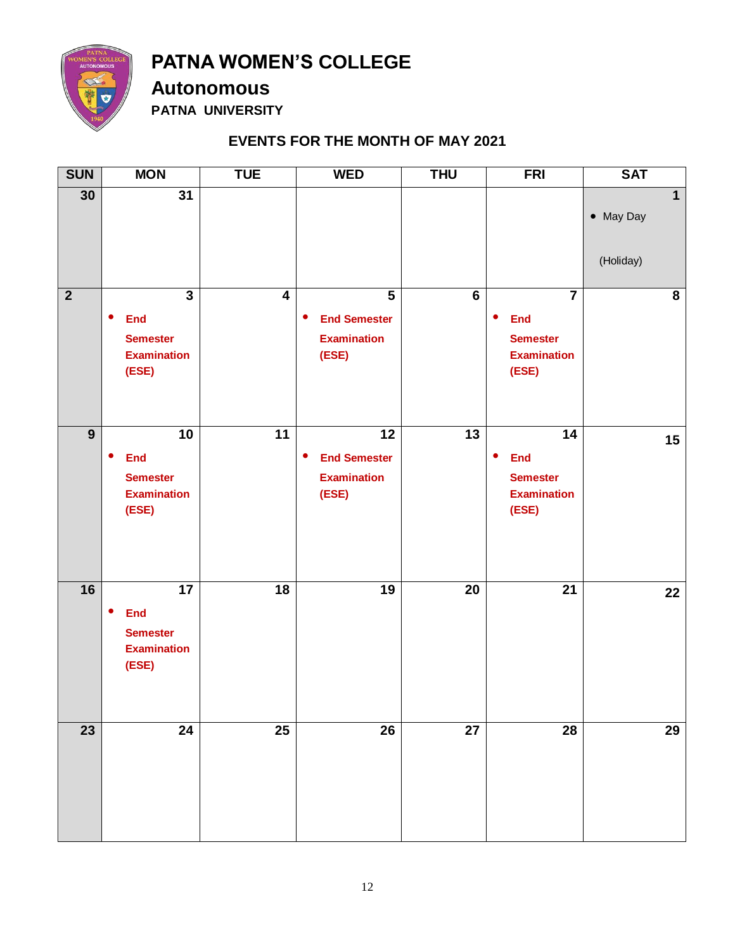

**Autonomous**

**PATNA UNIVERSITY**

#### **EVENTS FOR THE MONTH OF MAY 2021**

| <b>SUN</b>      | <b>MON</b>                                                                                  | <b>TUE</b>              | <b>WED</b>                                                                                 | <b>THU</b>      | <b>FRI</b>                                                                                           | <b>SAT</b>                             |
|-----------------|---------------------------------------------------------------------------------------------|-------------------------|--------------------------------------------------------------------------------------------|-----------------|------------------------------------------------------------------------------------------------------|----------------------------------------|
| 30              | $\overline{31}$                                                                             |                         |                                                                                            |                 |                                                                                                      | $\mathbf{1}$<br>• May Day<br>(Holiday) |
| $\overline{2}$  | $\overline{3}$<br><b>End</b><br>$\bullet$<br><b>Semester</b><br><b>Examination</b><br>(ESE) | $\overline{\mathbf{4}}$ | $\overline{\mathbf{5}}$<br><b>End Semester</b><br>$\bullet$<br><b>Examination</b><br>(ESE) | $6\phantom{a}$  | $\overline{\mathbf{7}}$<br><b>End</b><br>$\bullet$<br><b>Semester</b><br><b>Examination</b><br>(ESE) | 8                                      |
| $\overline{9}$  | 10<br>$\bullet$<br><b>End</b><br><b>Semester</b><br><b>Examination</b><br>(ESE)             | $\overline{11}$         | 12<br><b>End Semester</b><br>$\bullet$<br><b>Examination</b><br>(ESE)                      | 13              | 14<br><b>End</b><br>$\bullet$<br><b>Semester</b><br><b>Examination</b><br>(ESE)                      | 15                                     |
| 16              | 17<br>$\bullet$<br><b>End</b><br><b>Semester</b><br><b>Examination</b><br>(ESE)             | $\overline{18}$         | 19                                                                                         | 20              | $\overline{21}$                                                                                      | 22                                     |
| $\overline{23}$ | $\overline{24}$                                                                             | $\overline{25}$         | $\overline{26}$                                                                            | $\overline{27}$ | $\overline{28}$                                                                                      | $\overline{29}$                        |